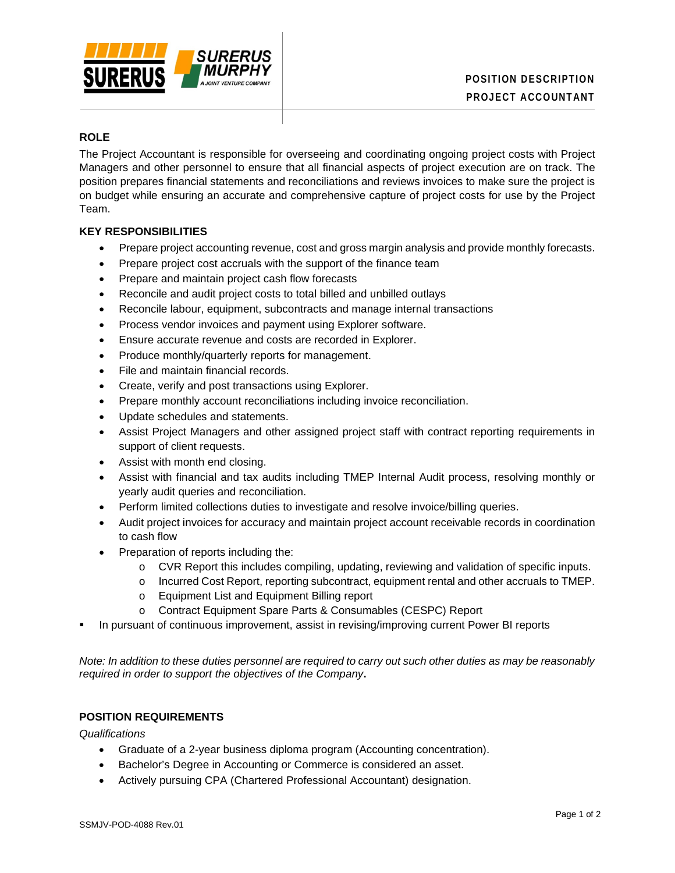

# **ROLE**

The Project Accountant is responsible for overseeing and coordinating ongoing project costs with Project Managers and other personnel to ensure that all financial aspects of project execution are on track. The position prepares financial statements and reconciliations and reviews invoices to make sure the project is on budget while ensuring an accurate and comprehensive capture of project costs for use by the Project Team.

## **KEY RESPONSIBILITIES**

- Prepare project accounting revenue, cost and gross margin analysis and provide monthly forecasts.
- Prepare project cost accruals with the support of the finance team
- Prepare and maintain project cash flow forecasts
- Reconcile and audit project costs to total billed and unbilled outlays
- Reconcile labour, equipment, subcontracts and manage internal transactions
- Process vendor invoices and payment using Explorer software.
- Ensure accurate revenue and costs are recorded in Explorer.
- Produce monthly/quarterly reports for management.
- File and maintain financial records.
- Create, verify and post transactions using Explorer.
- Prepare monthly account reconciliations including invoice reconciliation.
- Update schedules and statements.
- Assist Project Managers and other assigned project staff with contract reporting requirements in support of client requests.
- Assist with month end closing.
- Assist with financial and tax audits including TMEP Internal Audit process, resolving monthly or yearly audit queries and reconciliation.
- Perform limited collections duties to investigate and resolve invoice/billing queries.
- Audit project invoices for accuracy and maintain project account receivable records in coordination to cash flow
- Preparation of reports including the:
	- o CVR Report this includes compiling, updating, reviewing and validation of specific inputs.
	- o Incurred Cost Report, reporting subcontract, equipment rental and other accruals to TMEP.
	- o Equipment List and Equipment Billing report
	- o Contract Equipment Spare Parts & Consumables (CESPC) Report
- In pursuant of continuous improvement, assist in revising/improving current Power BI reports

*Note: In addition to these duties personnel are required to carry out such other duties as may be reasonably required in order to support the objectives of the Company***.**

# **POSITION REQUIREMENTS**

*Qualifications*

- Graduate of a 2-year business diploma program (Accounting concentration).
- Bachelor's Degree in Accounting or Commerce is considered an asset.
- Actively pursuing CPA (Chartered Professional Accountant) designation.